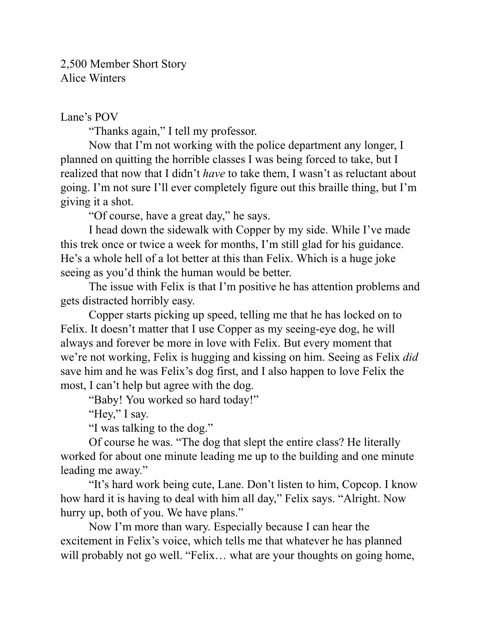2,500 Member Short Story Alice Winters

## Lane's POV

"Thanks again," I tell my professor.

Now that I'm not working with the police department any longer, I planned on quitting the horrible classes I was being forced to take, but I realized that now that I didn't *have* to take them, I wasn't as reluctant about going. I'm not sure I'll ever completely figure out this braille thing, but I'm giving it a shot.

"Of course, have a great day," he says.

I head down the sidewalk with Copper by my side. While I've made this trek once or twice a week for months, I'm still glad for his guidance. He's a whole hell of a lot better at this than Felix. Which is a huge joke seeing as you'd think the human would be better.

The issue with Felix is that I'm positive he has attention problems and gets distracted horribly easy.

Copper starts picking up speed, telling me that he has locked on to Felix. It doesn't matter that I use Copper as my seeing-eye dog, he will always and forever be more in love with Felix. But every moment that we're not working, Felix is hugging and kissing on him. Seeing as Felix *did* save him and he was Felix's dog first, and I also happen to love Felix the most, I can't help but agree with the dog.

"Baby! You worked so hard today!"

"Hey," I say.

"I was talking to the dog."

Of course he was. "The dog that slept the entire class? He literally worked for about one minute leading me up to the building and one minute leading me away."

"It's hard work being cute, Lane. Don't listen to him, Copcop. I know how hard it is having to deal with him all day," Felix says. "Alright. Now hurry up, both of you. We have plans."

Now I'm more than wary. Especially because I can hear the excitement in Felix's voice, which tells me that whatever he has planned will probably not go well. "Felix... what are your thoughts on going home,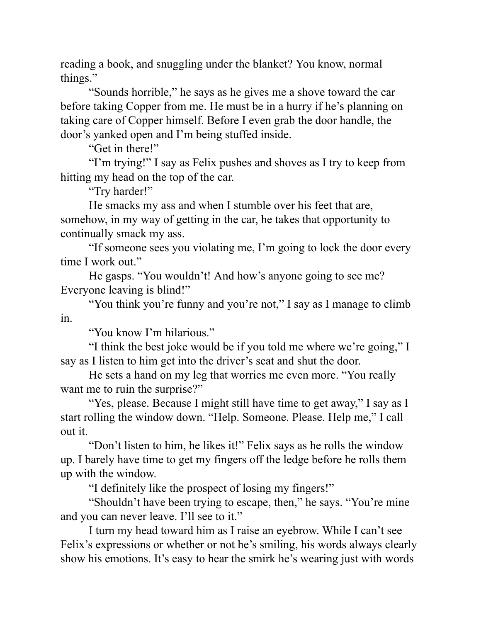reading a book, and snuggling under the blanket? You know, normal things."

"Sounds horrible," he says as he gives me a shove toward the car before taking Copper from me. He must be in a hurry if he's planning on taking care of Copper himself. Before I even grab the door handle, the door's yanked open and I'm being stuffed inside.

"Get in there!"

"I'm trying!" I say as Felix pushes and shoves as I try to keep from hitting my head on the top of the car.

"Try harder!"

He smacks my ass and when I stumble over his feet that are, somehow, in my way of getting in the car, he takes that opportunity to continually smack my ass.

"If someone sees you violating me, I'm going to lock the door every time I work out."

He gasps. "You wouldn't! And how's anyone going to see me? Everyone leaving is blind!"

"You think you're funny and you're not," I say as I manage to climb in.

"You know I'm hilarious."

"I think the best joke would be if you told me where we're going," I say as I listen to him get into the driver's seat and shut the door.

He sets a hand on my leg that worries me even more. "You really want me to ruin the surprise?"

"Yes, please. Because I might still have time to get away," I say as I start rolling the window down. "Help. Someone. Please. Help me," I call out it.

"Don't listen to him, he likes it!" Felix says as he rolls the window up. I barely have time to get my fingers off the ledge before he rolls them up with the window.

"I definitely like the prospect of losing my fingers!"

"Shouldn't have been trying to escape, then," he says. "You're mine and you can never leave. I'll see to it."

I turn my head toward him as I raise an eyebrow. While I can't see Felix's expressions or whether or not he's smiling, his words always clearly show his emotions. It's easy to hear the smirk he's wearing just with words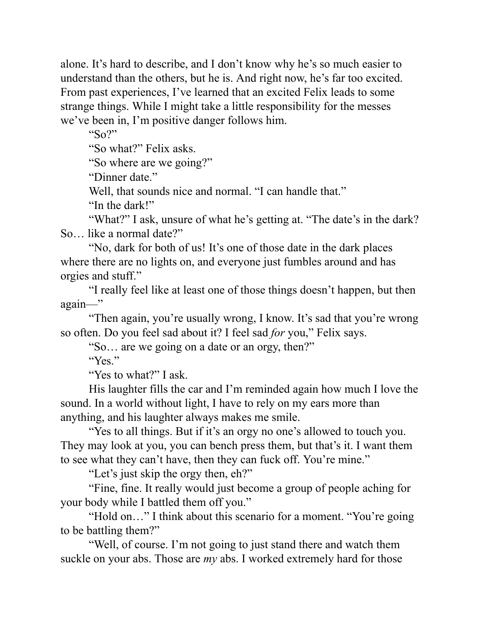alone. It's hard to describe, and I don't know why he's so much easier to understand than the others, but he is. And right now, he's far too excited. From past experiences, I've learned that an excited Felix leads to some strange things. While I might take a little responsibility for the messes we've been in, I'm positive danger follows him.

"So?"

"So what?" Felix asks.

"So where are we going?"

"Dinner date."

Well, that sounds nice and normal. "I can handle that."

"In the dark!"

"What?" I ask, unsure of what he's getting at. "The date's in the dark? So… like a normal date?"

"No, dark for both of us! It's one of those date in the dark places where there are no lights on, and everyone just fumbles around and has orgies and stuff."

"I really feel like at least one of those things doesn't happen, but then again—"

"Then again, you're usually wrong, I know. It's sad that you're wrong so often. Do you feel sad about it? I feel sad *for* you," Felix says.

"So… are we going on a date or an orgy, then?"

"Yes."

"Yes to what?" I ask.

His laughter fills the car and I'm reminded again how much I love the sound. In a world without light, I have to rely on my ears more than anything, and his laughter always makes me smile.

"Yes to all things. But if it's an orgy no one's allowed to touch you. They may look at you, you can bench press them, but that's it. I want them to see what they can't have, then they can fuck off. You're mine."

"Let's just skip the orgy then, eh?"

"Fine, fine. It really would just become a group of people aching for your body while I battled them off you."

"Hold on..." I think about this scenario for a moment. "You're going" to be battling them?"

"Well, of course. I'm not going to just stand there and watch them suckle on your abs. Those are *my* abs. I worked extremely hard for those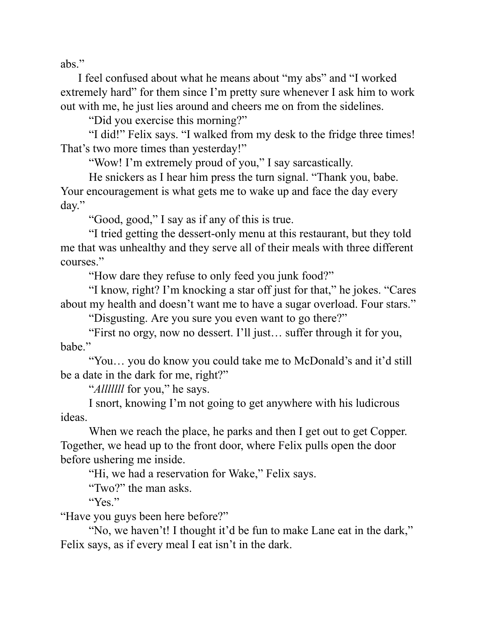abs."

 I feel confused about what he means about "my abs" and "I worked extremely hard" for them since I'm pretty sure whenever I ask him to work out with me, he just lies around and cheers me on from the sidelines.

"Did you exercise this morning?"

"I did!" Felix says. "I walked from my desk to the fridge three times! That's two more times than yesterday!"

"Wow! I'm extremely proud of you," I say sarcastically.

He snickers as I hear him press the turn signal. "Thank you, babe. Your encouragement is what gets me to wake up and face the day every day."

"Good, good," I say as if any of this is true.

"I tried getting the dessert-only menu at this restaurant, but they told me that was unhealthy and they serve all of their meals with three different courses."

"How dare they refuse to only feed you junk food?"

"I know, right? I'm knocking a star off just for that," he jokes. "Cares about my health and doesn't want me to have a sugar overload. Four stars."

"Disgusting. Are you sure you even want to go there?"

"First no orgy, now no dessert. I'll just… suffer through it for you, babe."

"You… you do know you could take me to McDonald's and it'd still be a date in the dark for me, right?"

"*Alllllll* for you," he says.

I snort, knowing I'm not going to get anywhere with his ludicrous ideas.

When we reach the place, he parks and then I get out to get Copper. Together, we head up to the front door, where Felix pulls open the door before ushering me inside.

"Hi, we had a reservation for Wake," Felix says.

"Two?" the man asks.

"Yes."

"Have you guys been here before?"

"No, we haven't! I thought it'd be fun to make Lane eat in the dark," Felix says, as if every meal I eat isn't in the dark.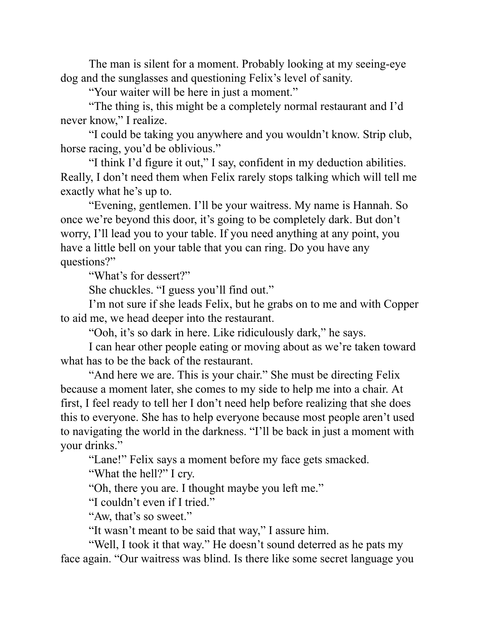The man is silent for a moment. Probably looking at my seeing-eye dog and the sunglasses and questioning Felix's level of sanity.

"Your waiter will be here in just a moment."

"The thing is, this might be a completely normal restaurant and I'd never know," I realize.

"I could be taking you anywhere and you wouldn't know. Strip club, horse racing, you'd be oblivious."

"I think I'd figure it out," I say, confident in my deduction abilities. Really, I don't need them when Felix rarely stops talking which will tell me exactly what he's up to.

"Evening, gentlemen. I'll be your waitress. My name is Hannah. So once we're beyond this door, it's going to be completely dark. But don't worry, I'll lead you to your table. If you need anything at any point, you have a little bell on your table that you can ring. Do you have any questions?"

"What's for dessert?"

She chuckles. "I guess you'll find out."

I'm not sure if she leads Felix, but he grabs on to me and with Copper to aid me, we head deeper into the restaurant.

"Ooh, it's so dark in here. Like ridiculously dark," he says.

I can hear other people eating or moving about as we're taken toward what has to be the back of the restaurant.

"And here we are. This is your chair." She must be directing Felix because a moment later, she comes to my side to help me into a chair. At first, I feel ready to tell her I don't need help before realizing that she does this to everyone. She has to help everyone because most people aren't used to navigating the world in the darkness. "I'll be back in just a moment with your drinks."

"Lane!" Felix says a moment before my face gets smacked.

"What the hell?" I cry.

"Oh, there you are. I thought maybe you left me."

"I couldn't even if I tried."

"Aw, that's so sweet."

"It wasn't meant to be said that way," I assure him.

"Well, I took it that way." He doesn't sound deterred as he pats my face again. "Our waitress was blind. Is there like some secret language you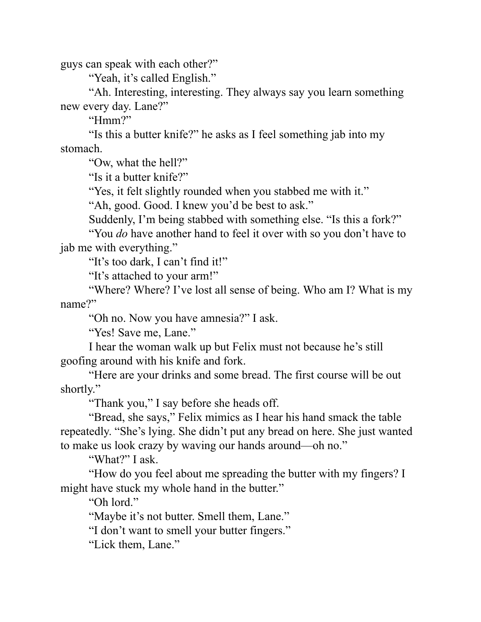guys can speak with each other?"

"Yeah, it's called English."

"Ah. Interesting, interesting. They always say you learn something new every day. Lane?"

"Hmm?"

"Is this a butter knife?" he asks as I feel something jab into my stomach.

"Ow, what the hell?"

"Is it a butter knife?"

"Yes, it felt slightly rounded when you stabbed me with it."

"Ah, good. Good. I knew you'd be best to ask."

Suddenly, I'm being stabbed with something else. "Is this a fork?"

"You *do* have another hand to feel it over with so you don't have to jab me with everything."

"It's too dark, I can't find it!"

"It's attached to your arm!"

"Where? Where? I've lost all sense of being. Who am I? What is my name?"

"Oh no. Now you have amnesia?" I ask.

"Yes! Save me, Lane."

I hear the woman walk up but Felix must not because he's still goofing around with his knife and fork.

"Here are your drinks and some bread. The first course will be out shortly."

"Thank you," I say before she heads off.

"Bread, she says," Felix mimics as I hear his hand smack the table repeatedly. "She's lying. She didn't put any bread on here. She just wanted to make us look crazy by waving our hands around—oh no."

"What?" I ask.

"How do you feel about me spreading the butter with my fingers? I might have stuck my whole hand in the butter."

"Oh lord."

"Maybe it's not butter. Smell them, Lane."

"I don't want to smell your butter fingers."

"Lick them, Lane."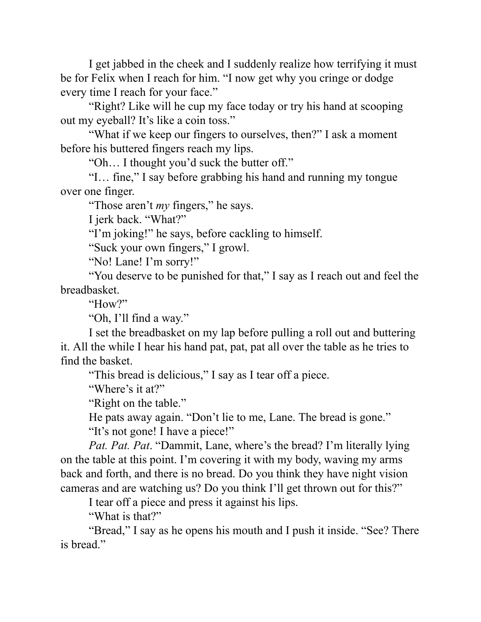I get jabbed in the cheek and I suddenly realize how terrifying it must be for Felix when I reach for him. "I now get why you cringe or dodge every time I reach for your face."

"Right? Like will he cup my face today or try his hand at scooping out my eyeball? It's like a coin toss."

"What if we keep our fingers to ourselves, then?" I ask a moment before his buttered fingers reach my lips.

"Oh… I thought you'd suck the butter off."

"I… fine," I say before grabbing his hand and running my tongue over one finger.

"Those aren't *my* fingers," he says.

I jerk back. "What?"

"I'm joking!" he says, before cackling to himself.

"Suck your own fingers," I growl.

"No! Lane! I'm sorry!"

"You deserve to be punished for that," I say as I reach out and feel the breadbasket.

"How?"

"Oh, I'll find a way."

I set the breadbasket on my lap before pulling a roll out and buttering it. All the while I hear his hand pat, pat, pat all over the table as he tries to find the basket.

"This bread is delicious," I say as I tear off a piece.

"Where's it at?"

"Right on the table."

He pats away again. "Don't lie to me, Lane. The bread is gone."

"It's not gone! I have a piece!"

*Pat. Pat. Pat*. "Dammit, Lane, where's the bread? I'm literally lying on the table at this point. I'm covering it with my body, waving my arms back and forth, and there is no bread. Do you think they have night vision cameras and are watching us? Do you think I'll get thrown out for this?"

I tear off a piece and press it against his lips.

"What is that?"

"Bread," I say as he opens his mouth and I push it inside. "See? There is bread."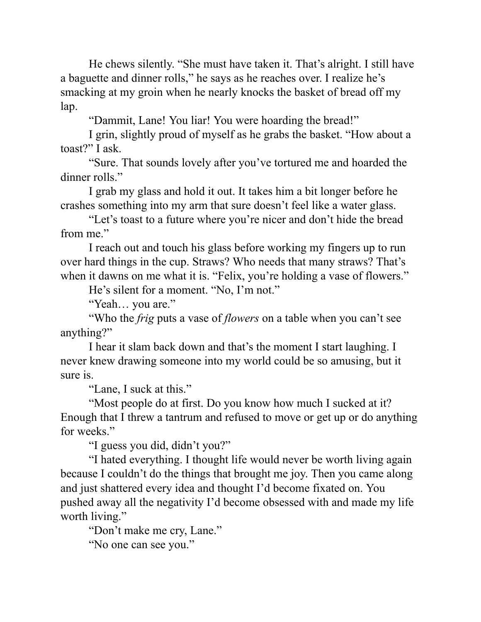He chews silently. "She must have taken it. That's alright. I still have a baguette and dinner rolls," he says as he reaches over. I realize he's smacking at my groin when he nearly knocks the basket of bread off my lap.

"Dammit, Lane! You liar! You were hoarding the bread!"

I grin, slightly proud of myself as he grabs the basket. "How about a toast?" I ask.

"Sure. That sounds lovely after you've tortured me and hoarded the dinner rolls."

I grab my glass and hold it out. It takes him a bit longer before he crashes something into my arm that sure doesn't feel like a water glass.

"Let's toast to a future where you're nicer and don't hide the bread from me."

I reach out and touch his glass before working my fingers up to run over hard things in the cup. Straws? Who needs that many straws? That's when it dawns on me what it is. "Felix, you're holding a vase of flowers."

He's silent for a moment. "No, I'm not."

"Yeah… you are."

"Who the *frig* puts a vase of *flowers* on a table when you can't see anything?"

I hear it slam back down and that's the moment I start laughing. I never knew drawing someone into my world could be so amusing, but it sure is.

"Lane, I suck at this."

"Most people do at first. Do you know how much I sucked at it? Enough that I threw a tantrum and refused to move or get up or do anything for weeks."

"I guess you did, didn't you?"

"I hated everything. I thought life would never be worth living again because I couldn't do the things that brought me joy. Then you came along and just shattered every idea and thought I'd become fixated on. You pushed away all the negativity I'd become obsessed with and made my life worth living."

"Don't make me cry, Lane."

"No one can see you."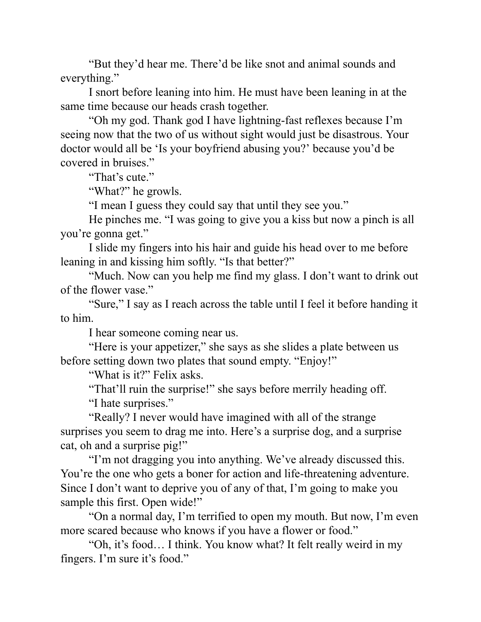"But they'd hear me. There'd be like snot and animal sounds and everything."

I snort before leaning into him. He must have been leaning in at the same time because our heads crash together.

"Oh my god. Thank god I have lightning-fast reflexes because I'm seeing now that the two of us without sight would just be disastrous. Your doctor would all be 'Is your boyfriend abusing you?' because you'd be covered in bruises."

"That's cute."

"What?" he growls.

"I mean I guess they could say that until they see you."

He pinches me. "I was going to give you a kiss but now a pinch is all you're gonna get."

I slide my fingers into his hair and guide his head over to me before leaning in and kissing him softly. "Is that better?"

"Much. Now can you help me find my glass. I don't want to drink out of the flower vase."

"Sure," I say as I reach across the table until I feel it before handing it to him.

I hear someone coming near us.

"Here is your appetizer," she says as she slides a plate between us before setting down two plates that sound empty. "Enjoy!"

"What is it?" Felix asks.

"That'll ruin the surprise!" she says before merrily heading off.

"I hate surprises."

"Really? I never would have imagined with all of the strange surprises you seem to drag me into. Here's a surprise dog, and a surprise cat, oh and a surprise pig!"

"I'm not dragging you into anything. We've already discussed this. You're the one who gets a boner for action and life-threatening adventure. Since I don't want to deprive you of any of that, I'm going to make you sample this first. Open wide!"

"On a normal day, I'm terrified to open my mouth. But now, I'm even more scared because who knows if you have a flower or food."

"Oh, it's food… I think. You know what? It felt really weird in my fingers. I'm sure it's food."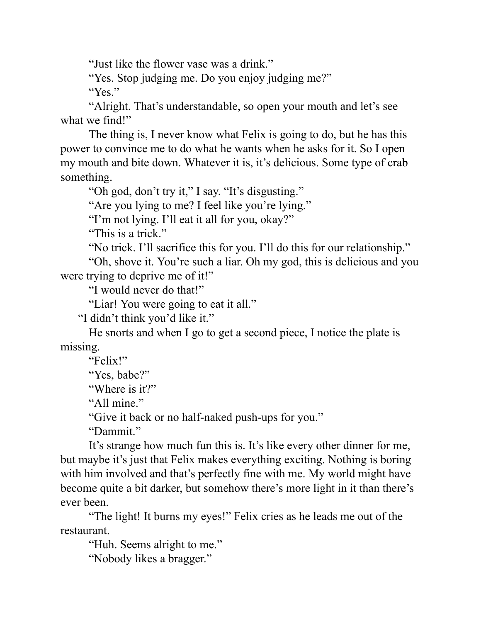"Just like the flower vase was a drink."

"Yes. Stop judging me. Do you enjoy judging me?"

"Yes."

"Alright. That's understandable, so open your mouth and let's see what we find!"

The thing is, I never know what Felix is going to do, but he has this power to convince me to do what he wants when he asks for it. So I open my mouth and bite down. Whatever it is, it's delicious. Some type of crab something.

"Oh god, don't try it," I say. "It's disgusting."

"Are you lying to me? I feel like you're lying."

"I'm not lying. I'll eat it all for you, okay?"

"This is a trick."

"No trick. I'll sacrifice this for you. I'll do this for our relationship."

"Oh, shove it. You're such a liar. Oh my god, this is delicious and you were trying to deprive me of it!"

"I would never do that!"

"Liar! You were going to eat it all."

"I didn't think you'd like it."

He snorts and when I go to get a second piece, I notice the plate is missing.

"Felix!" "Yes, babe?" "Where is it?" "All mine." "Give it back or no half-naked push-ups for you."

"Dammit."

It's strange how much fun this is. It's like every other dinner for me, but maybe it's just that Felix makes everything exciting. Nothing is boring with him involved and that's perfectly fine with me. My world might have become quite a bit darker, but somehow there's more light in it than there's ever been.

"The light! It burns my eyes!" Felix cries as he leads me out of the restaurant.

"Huh. Seems alright to me."

"Nobody likes a bragger."